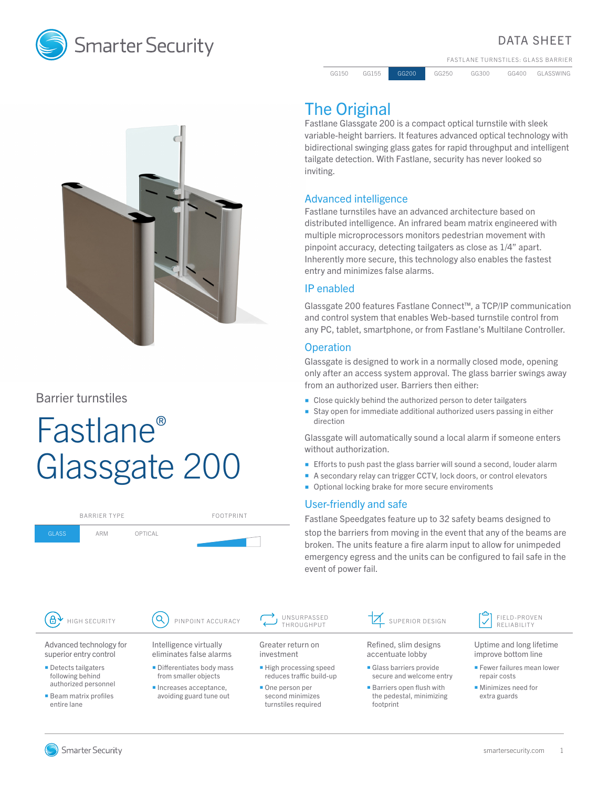

### DATA SHEET

FASTLANE TURNSTILES: GLASS BARRIER

GG150 GG155 GG200 GG250 GG300 GG400 GLASSWING

# The Original

Fastlane Glassgate 200 is a compact optical turnstile with sleek variable-height barriers. It features advanced optical technology with bidirectional swinging glass gates for rapid throughput and intelligent tailgate detection. With Fastlane, security has never looked so inviting.

#### Advanced intelligence

Fastlane turnstiles have an advanced architecture based on distributed intelligence. An infrared beam matrix engineered with multiple microprocessors monitors pedestrian movement with pinpoint accuracy, detecting tailgaters as close as 1/4" apart. Inherently more secure, this technology also enables the fastest entry and minimizes false alarms.

#### IP enabled

Glassgate 200 features Fastlane Connect™, a TCP/IP communication and control system that enables Web-based turnstile control from any PC, tablet, smartphone, or from Fastlane's Multilane Controller.

#### **Operation**

Glassgate is designed to work in a normally closed mode, opening only after an access system approval. The glass barrier swings away from an authorized user. Barriers then either:

- Close quickly behind the authorized person to deter tailgaters
- Stay open for immediate additional authorized users passing in either direction

Glassgate will automatically sound a local alarm if someone enters without authorization.

- **Efforts to push past the glass barrier will sound a second, louder alarm**
- A secondary relay can trigger CCTV, lock doors, or control elevators
- Optional locking brake for more secure enviroments

#### User-friendly and safe

Fastlane Speedgates feature up to 32 safety beams designed to stop the barriers from moving in the event that any of the beams are broken. The units feature a fire alarm input to allow for unimpeded emergency egress and the units can be configured to fail safe in the event of power fail.





Barrier turnstiles

GLASS ARM OPTICAL

# Fastlane® Glassgate 200

BARRIER TYPE FOOTPRINT

**Smarter Security** 

smartersecurity.com 1